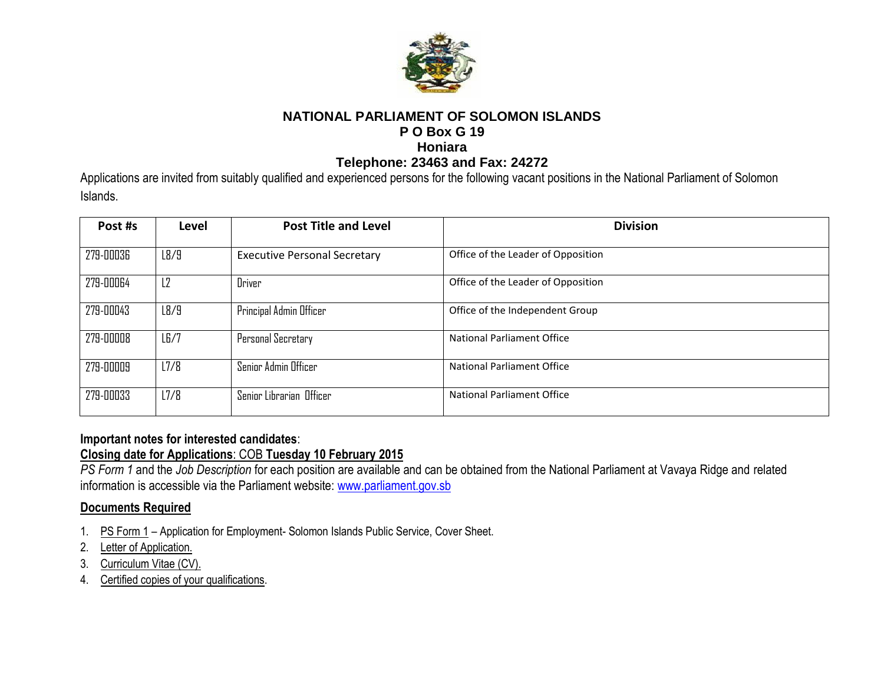

## **NATIONAL PARLIAMENT OF SOLOMON ISLANDS P O Box G 19 Honiara**

#### **Telephone: 23463 and Fax: 24272**

Applications are invited from suitably qualified and experienced persons for the following vacant positions in the National Parliament of Solomon Islands.

| Post #s   | Level          | <b>Post Title and Level</b>         | <b>Division</b>                    |
|-----------|----------------|-------------------------------------|------------------------------------|
| 279-00036 | L8/9           | <b>Executive Personal Secretary</b> | Office of the Leader of Opposition |
| 279-00064 | L <sub>2</sub> | Driver                              | Office of the Leader of Opposition |
| 279-00043 | L8/9           | Principal Admin Officer             | Office of the Independent Group    |
| 279-00008 | LE/7           | Personal Secretary                  | <b>National Parliament Office</b>  |
| 279-00009 | 17/8           | Senior Admin Officer                | National Parliament Office         |
| 279-00033 | 17/8           | Senior Librarian Officer            | National Parliament Office         |

## **Important notes for interested candidates**:

### **Closing date for Applications**: COB **Tuesday 10 February 2015**

*PS Form 1* and the *Job Description* for each position are available and can be obtained from the National Parliament at Vavaya Ridge and related information is accessible via the Parliament website: [www.parliament.gov.sb](http://www.parliament.gov.sb/)

# **Documents Required**

- 1. PS Form 1 Application for Employment- Solomon Islands Public Service, Cover Sheet.
- 2. Letter of Application.
- 3. Curriculum Vitae (CV).
- 4. Certified copies of your qualifications.